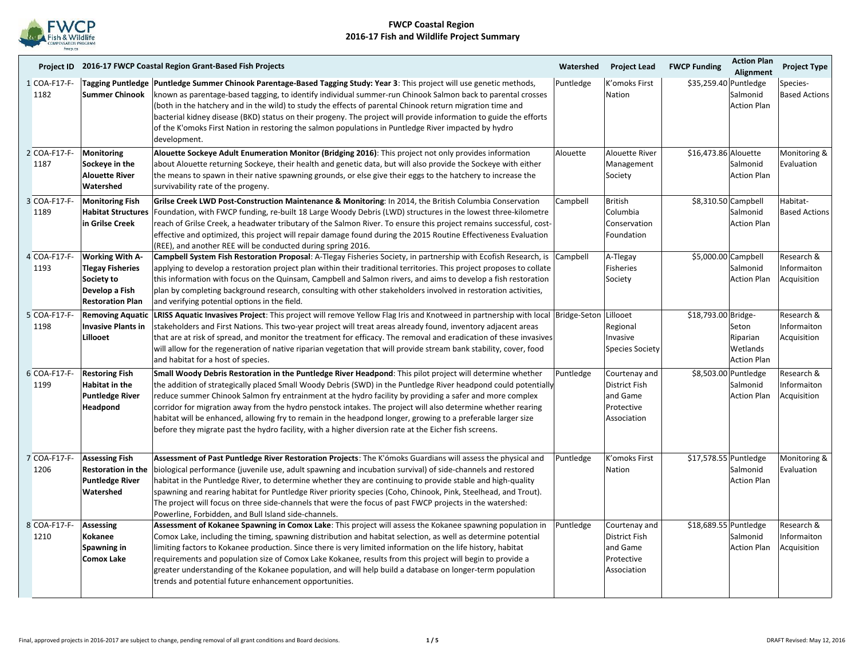

|                      |                                                                                                              | Project ID 2016-17 FWCP Coastal Region Grant-Based Fish Projects                                                                                                                                                                                                                                                                                                                                                                                                                                                                                                                                                                                                                  | Watershed | <b>Project Lead</b>                                                            | <b>FWCP Funding</b>   | <b>Action Plan</b><br>Alignment                        | <b>Project Type</b>                             |
|----------------------|--------------------------------------------------------------------------------------------------------------|-----------------------------------------------------------------------------------------------------------------------------------------------------------------------------------------------------------------------------------------------------------------------------------------------------------------------------------------------------------------------------------------------------------------------------------------------------------------------------------------------------------------------------------------------------------------------------------------------------------------------------------------------------------------------------------|-----------|--------------------------------------------------------------------------------|-----------------------|--------------------------------------------------------|-------------------------------------------------|
| 1 COA-F17-F-<br>1182 | <b>Summer Chinook</b>                                                                                        | Tagging Puntledge Puntledge Summer Chinook Parentage-Based Tagging Study: Year 3: This project will use genetic methods,<br>known as parentage-based tagging, to identify individual summer-run Chinook Salmon back to parental crosses<br>(both in the hatchery and in the wild) to study the effects of parental Chinook return migration time and<br>bacterial kidney disease (BKD) status on their progeny. The project will provide information to guide the efforts<br>of the K'omoks First Nation in restoring the salmon populations in Puntledge River impacted by hydro<br>development.                                                                                 | Puntledge | K'omoks First<br>Nation                                                        | \$35,259.40 Puntledge | Salmonid<br><b>Action Plan</b>                         | Species-<br><b>Based Actions</b>                |
| 2 COA-F17-F-<br>1187 | Monitoring<br>Sockeye in the<br><b>Alouette River</b><br>Watershed                                           | Alouette Sockeye Adult Enumeration Monitor (Bridging 2016): This project not only provides information<br>about Alouette returning Sockeye, their health and genetic data, but will also provide the Sockeye with either<br>the means to spawn in their native spawning grounds, or else give their eggs to the hatchery to increase the<br>survivability rate of the progeny.                                                                                                                                                                                                                                                                                                    | Alouette  | <b>Alouette River</b><br>Management<br>Society                                 | \$16,473.86 Alouette  | Salmonid<br><b>Action Plan</b>                         | Monitoring &<br>Evaluation                      |
| 3 COA-F17-F-<br>1189 | <b>Monitoring Fish</b><br>in Grilse Creek                                                                    | Grilse Creek LWD Post-Construction Maintenance & Monitoring: In 2014, the British Columbia Conservation<br>Habitat Structures   Foundation, with FWCP funding, re-built 18 Large Woody Debris (LWD) structures in the lowest three-kilometre<br>reach of Grilse Creek, a headwater tributary of the Salmon River. To ensure this project remains successful, cost-<br>effective and optimized, this project will repair damage found during the 2015 Routine Effectiveness Evaluation<br>(REE), and another REE will be conducted during spring 2016.                                                                                                                             | Campbell  | <b>British</b><br>Columbia<br>Conservation<br>Foundation                       | \$8,310.50 Campbell   | Salmonid<br><b>Action Plan</b>                         | Habitat-<br><b>Based Actions</b>                |
| 4 COA-F17-F-<br>1193 | <b>Working With A-</b><br><b>Tlegay Fisheries</b><br>Society to<br>Develop a Fish<br><b>Restoration Plan</b> | Campbell System Fish Restoration Proposal: A-Tlegay Fisheries Society, in partnership with Ecofish Research, is Campbell<br>applying to develop a restoration project plan within their traditional territories. This project proposes to collate<br>this information with focus on the Quinsam, Campbell and Salmon rivers, and aims to develop a fish restoration<br>plan by completing background research, consulting with other stakeholders involved in restoration activities,<br>and verifying potential options in the field.                                                                                                                                            |           | A-Tlegay<br><b>Fisheries</b><br>Society                                        | \$5,000.00 Campbell   | Salmonid<br><b>Action Plan</b>                         | Research &<br>Informaiton<br>Acquisition        |
| 5 COA-F17-F-<br>1198 | <b>Removing Aquatic</b><br><b>Invasive Plants in</b><br>Lillooet                                             | LRISS Aquatic Invasives Project: This project will remove Yellow Flag Iris and Knotweed in partnership with local Bridge-Seton Lillooet<br>stakeholders and First Nations. This two-year project will treat areas already found, inventory adjacent areas<br>that are at risk of spread, and monitor the treatment for efficacy. The removal and eradication of these invasives<br>will allow for the regeneration of native riparian vegetation that will provide stream bank stability, cover, food<br>and habitat for a host of species.                                                                                                                                       |           | Regional<br>Invasive<br><b>Species Society</b>                                 | \$18,793.00 Bridge-   | Seton<br>Riparian<br>Wetlands<br><b>Action Plan</b>    | Research &<br>Informaiton<br>Acquisition        |
| 6 COA-F17-F-<br>1199 | <b>Restoring Fish</b><br><b>Habitat in the</b><br><b>Puntledge River</b><br>Headpond                         | Small Woody Debris Restoration in the Puntledge River Headpond: This pilot project will determine whether<br>the addition of strategically placed Small Woody Debris (SWD) in the Puntledge River headpond could potentially<br>reduce summer Chinook Salmon fry entrainment at the hydro facility by providing a safer and more complex<br>corridor for migration away from the hydro penstock intakes. The project will also determine whether rearing<br>habitat will be enhanced, allowing fry to remain in the headpond longer, growing to a preferable larger size<br>before they migrate past the hydro facility, with a higher diversion rate at the Eicher fish screens. | Puntledge | Courtenay and<br><b>District Fish</b><br>and Game<br>Protective<br>Association |                       | \$8,503.00 Puntledge<br>Salmonid<br><b>Action Plan</b> | Research &<br><b>Informaiton</b><br>Acquisition |
| 7 COA-F17-F-<br>1206 | <b>Assessing Fish</b><br><b>Restoration in the</b><br><b>Puntledge River</b><br>Watershed                    | Assessment of Past Puntledge River Restoration Projects: The K'ómoks Guardians will assess the physical and<br>biological performance (juvenile use, adult spawning and incubation survival) of side-channels and restored<br>habitat in the Puntledge River, to determine whether they are continuing to provide stable and high-quality<br>spawning and rearing habitat for Puntledge River priority species (Coho, Chinook, Pink, Steelhead, and Trout).<br>The project will focus on three side-channels that were the focus of past FWCP projects in the watershed:<br>Powerline, Forbidden, and Bull Island side-channels.                                                  | Puntledge | K'omoks First<br>Nation                                                        | \$17,578.55 Puntledge | Salmonid<br><b>Action Plan</b>                         | Monitoring &<br>Evaluation                      |
| 8 COA-F17-F-<br>1210 | <b>Assessing</b><br>Kokanee<br>Spawning in<br><b>Comox Lake</b>                                              | Assessment of Kokanee Spawning in Comox Lake: This project will assess the Kokanee spawning population in<br>Comox Lake, including the timing, spawning distribution and habitat selection, as well as determine potential<br>limiting factors to Kokanee production. Since there is very limited information on the life history, habitat<br>requirements and population size of Comox Lake Kokanee, results from this project will begin to provide a<br>greater understanding of the Kokanee population, and will help build a database on longer-term population<br>trends and potential future enhancement opportunities.                                                    | Puntledge | Courtenay and<br><b>District Fish</b><br>and Game<br>Protective<br>Association | \$18,689.55 Puntledge | Salmonid<br><b>Action Plan</b>                         | Research &<br>Informaiton<br>Acquisition        |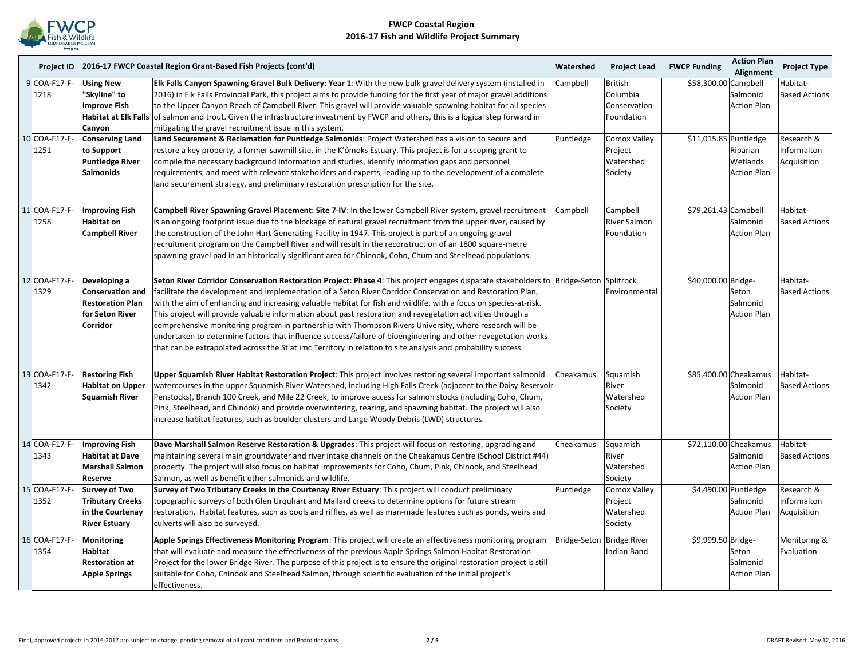

|                       |                                                                                                          | Project ID 2016-17 FWCP Coastal Region Grant-Based Fish Projects (cont'd)                                                                                                                                                                                                                                                                                                                                                                                                                                                                                                                                                                                                                                                                                                                                                            | Watershed                 | <b>Project Lead</b>                                      | <b>FWCP Funding</b>   | <b>Action Plan</b><br>Alignment                         | <b>Project Type</b>                      |
|-----------------------|----------------------------------------------------------------------------------------------------------|--------------------------------------------------------------------------------------------------------------------------------------------------------------------------------------------------------------------------------------------------------------------------------------------------------------------------------------------------------------------------------------------------------------------------------------------------------------------------------------------------------------------------------------------------------------------------------------------------------------------------------------------------------------------------------------------------------------------------------------------------------------------------------------------------------------------------------------|---------------------------|----------------------------------------------------------|-----------------------|---------------------------------------------------------|------------------------------------------|
| 9 COA-F17-F-<br>1218  | <b>Using New</b><br>"Skyline" to<br>Improve Fish<br>Habitat at Elk Falls<br>Canyon                       | Elk Falls Canyon Spawning Gravel Bulk Delivery: Year 1: With the new bulk gravel delivery system (installed in<br>2016) in Elk Falls Provincial Park, this project aims to provide funding for the first year of major gravel additions<br>to the Upper Canyon Reach of Campbell River. This gravel will provide valuable spawning habitat for all species<br>of salmon and trout. Given the infrastructure investment by FWCP and others, this is a logical step forward in<br>mitigating the gravel recruitment issue in this system.                                                                                                                                                                                                                                                                                              | Campbell                  | <b>British</b><br>Columbia<br>Conservation<br>Foundation | \$58,300.00 Campbell  | Salmonid<br><b>Action Plan</b>                          | Habitat-<br><b>Based Actions</b>         |
| 10 COA-F17-F-<br>1251 | <b>Conserving Land</b><br>to Support<br><b>Puntledge River</b><br><b>Salmonids</b>                       | Land Securement & Reclamation for Puntledge Salmonids: Project Watershed has a vision to secure and<br>restore a key property, a former sawmill site, in the K'ómoks Estuary. This project is for a scoping grant to<br>compile the necessary background information and studies, identify information gaps and personnel<br>requirements, and meet with relevant stakeholders and experts, leading up to the development of a complete<br>land securement strategy, and preliminary restoration prescription for the site.                                                                                                                                                                                                                                                                                                          | Puntledge                 | Comox Valley<br>Project<br>Watershed<br>Society          | \$11,015.85 Puntledge | Riparian<br>Wetlands<br><b>Action Plan</b>              | Research &<br>Informaiton<br>Acquisition |
| 11 COA-F17-F-<br>1258 | <b>Improving Fish</b><br><b>Habitat on</b><br><b>Campbell River</b>                                      | Campbell River Spawning Gravel Placement: Site 7-IV: In the lower Campbell River system, gravel recruitment<br>is an ongoing footprint issue due to the blockage of natural gravel recruitment from the upper river, caused by<br>the construction of the John Hart Generating Facility in 1947. This project is part of an ongoing gravel<br>recruitment program on the Campbell River and will result in the reconstruction of an 1800 square-metre<br>spawning gravel pad in an historically significant area for Chinook, Coho, Chum and Steelhead populations.                                                                                                                                                                                                                                                                  | Campbell                  | Campbell<br><b>River Salmon</b><br>Foundation            | \$79,261.43 Campbell  | Salmonid<br><b>Action Plan</b>                          | Habitat-<br><b>Based Actions</b>         |
| 12 COA-F17-F-<br>1329 | Developing a<br><b>Conservation and</b><br><b>Restoration Plan</b><br>for Seton River<br><b>Corridor</b> | Seton River Corridor Conservation Restoration Project: Phase 4: This project engages disparate stakeholders to Bridge-Seton Splitrock<br>facilitate the development and implementation of a Seton River Corridor Conservation and Restoration Plan,<br>with the aim of enhancing and increasing valuable habitat for fish and wildlife, with a focus on species-at-risk.<br>This project will provide valuable information about past restoration and revegetation activities through a<br>comprehensive monitoring program in partnership with Thompson Rivers University, where research will be<br>undertaken to determine factors that influence success/failure of bioengineering and other revegetation works<br>that can be extrapolated across the St'at'imc Territory in relation to site analysis and probability success. |                           | Environmental                                            | \$40,000.00 Bridge-   | Seton<br>Salmonid<br><b>Action Plan</b>                 | Habitat-<br><b>Based Actions</b>         |
| 13 COA-F17-F-<br>1342 | <b>Restoring Fish</b><br><b>Habitat on Upper</b><br><b>Squamish River</b>                                | Upper Squamish River Habitat Restoration Project: This project involves restoring several important salmonid<br>watercourses in the upper Squamish River Watershed, including High Falls Creek (adjacent to the Daisy Reservoir<br>Penstocks), Branch 100 Creek, and Mile 22 Creek, to improve access for salmon stocks (including Coho, Chum,<br>Pink, Steelhead, and Chinook) and provide overwintering, rearing, and spawning habitat. The project will also<br>increase habitat features, such as boulder clusters and Large Woody Debris (LWD) structures.                                                                                                                                                                                                                                                                      | Cheakamus                 | Squamish<br>River<br>Watershed<br>Society                |                       | \$85,400.00 Cheakamus<br>Salmonid<br><b>Action Plan</b> | Habitat-<br><b>Based Actions</b>         |
| 14 COA-F17-F-<br>1343 | <b>Improving Fish</b><br><b>Habitat at Dave</b><br><b>Marshall Salmon</b><br>Reserve                     | Dave Marshall Salmon Reserve Restoration & Upgrades: This project will focus on restoring, upgrading and<br>maintaining several main groundwater and river intake channels on the Cheakamus Centre (School District #44)<br>property. The project will also focus on habitat improvements for Coho, Chum, Pink, Chinook, and Steelhead<br>Salmon, as well as benefit other salmonids and wildlife.                                                                                                                                                                                                                                                                                                                                                                                                                                   | Cheakamus                 | Squamish<br>River<br>Watershed<br>Society                |                       | \$72,110.00 Cheakamus<br>Salmonid<br><b>Action Plan</b> | Habitat-<br><b>Based Actions</b>         |
| 15 COA-F17-F-<br>1352 | <b>Survey of Two</b><br><b>Tributary Creeks</b><br>in the Courtenay<br><b>River Estuary</b>              | Survey of Two Tributary Creeks in the Courtenay River Estuary: This project will conduct preliminary<br>topographic surveys of both Glen Urquhart and Mallard creeks to determine options for future stream<br>restoration. Habitat features, such as pools and riffles, as well as man-made features such as ponds, weirs and<br>culverts will also be surveyed.                                                                                                                                                                                                                                                                                                                                                                                                                                                                    | Puntledge                 | Comox Valley<br>Project<br>Watershed<br>Society          |                       | \$4,490.00 Puntledge<br>Salmonid<br><b>Action Plan</b>  | Research &<br>Informaiton<br>Acquisition |
| 16 COA-F17-F-<br>1354 | <b>Monitoring</b><br><b>Habitat</b><br><b>Restoration at</b><br><b>Apple Springs</b>                     | Apple Springs Effectiveness Monitoring Program: This project will create an effectiveness monitoring program<br>that will evaluate and measure the effectiveness of the previous Apple Springs Salmon Habitat Restoration<br>Project for the lower Bridge River. The purpose of this project is to ensure the original restoration project is still<br>suitable for Coho, Chinook and Steelhead Salmon, through scientific evaluation of the initial project's<br>effectiveness.                                                                                                                                                                                                                                                                                                                                                     | Bridge-Seton Bridge River | <b>Indian Band</b>                                       | \$9,999.50 Bridge-    | Seton<br>Salmonid<br><b>Action Plan</b>                 | Monitoring &<br>Evaluation               |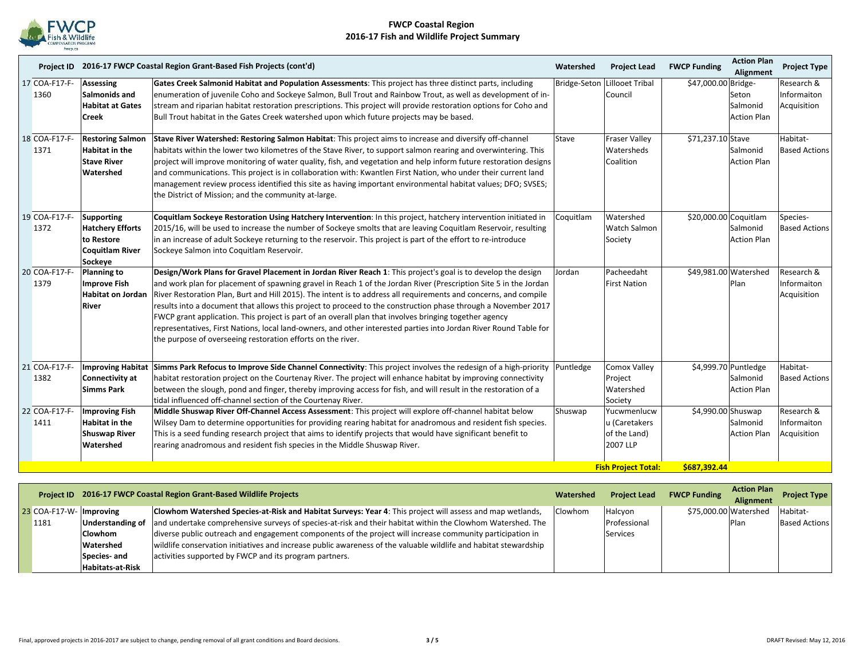

|      |               |                                                                                                 | Project ID 2016-17 FWCP Coastal Region Grant-Based Fish Projects (cont'd)                                                                                                                                                                                                                                                                                                                                                                                                                                                                                                                                                                                                                                                                                           | Watershed | <b>Project Lead</b>                                      | <b>FWCP Funding</b>   | <b>Action Plan</b><br>Alignment                        | <b>Project Type</b>                      |
|------|---------------|-------------------------------------------------------------------------------------------------|---------------------------------------------------------------------------------------------------------------------------------------------------------------------------------------------------------------------------------------------------------------------------------------------------------------------------------------------------------------------------------------------------------------------------------------------------------------------------------------------------------------------------------------------------------------------------------------------------------------------------------------------------------------------------------------------------------------------------------------------------------------------|-----------|----------------------------------------------------------|-----------------------|--------------------------------------------------------|------------------------------------------|
| 1360 | 17 COA-F17-F- | <b>Assessing</b><br>Salmonids and<br><b>Habitat at Gates</b><br><b>Creek</b>                    | Gates Creek Salmonid Habitat and Population Assessments: This project has three distinct parts, including<br>enumeration of juvenile Coho and Sockeye Salmon, Bull Trout and Rainbow Trout, as well as development of in-<br>stream and riparian habitat restoration prescriptions. This project will provide restoration options for Coho and<br>Bull Trout habitat in the Gates Creek watershed upon which future projects may be based.                                                                                                                                                                                                                                                                                                                          |           | Bridge-Seton Lillooet Tribal<br>Council                  | \$47,000.00 Bridge-   | Seton<br>Salmonid<br><b>Action Plan</b>                | Research &<br>Informaiton<br>Acquisition |
| 1371 | 18 COA-F17-F- | <b>Restoring Salmon</b><br><b>Habitat in the</b><br><b>Stave River</b><br>Watershed             | Stave River Watershed: Restoring Salmon Habitat: This project aims to increase and diversify off-channel<br>habitats within the lower two kilometres of the Stave River, to support salmon rearing and overwintering. This<br>project will improve monitoring of water quality, fish, and vegetation and help inform future restoration designs<br>and communications. This project is in collaboration with: Kwantlen First Nation, who under their current land<br>management review process identified this site as having important environmental habitat values; DFO; SVSES;<br>the District of Mission; and the community at-large.                                                                                                                           | Stave     | <b>Fraser Valley</b><br>Watersheds<br>Coalition          | \$71,237.10 Stave     | Salmonid<br><b>Action Plan</b>                         | Habitat-<br><b>Based Actions</b>         |
| 1372 | 19 COA-F17-F- | <b>Supporting</b><br><b>Hatchery Efforts</b><br>to Restore<br><b>Coquitlam River</b><br>Sockeye | Coquitlam Sockeye Restoration Using Hatchery Intervention: In this project, hatchery intervention initiated in<br>2015/16, will be used to increase the number of Sockeye smolts that are leaving Coquitlam Reservoir, resulting<br>in an increase of adult Sockeye returning to the reservoir. This project is part of the effort to re-introduce<br>Sockeye Salmon into Coquitlam Reservoir.                                                                                                                                                                                                                                                                                                                                                                      | Coquitlam | Watershed<br><b>Watch Salmon</b><br>Society              | \$20,000.00 Coquitlam | Salmonid<br><b>Action Plan</b>                         | Species-<br><b>Based Actions</b>         |
| 1379 | 20 COA-F17-F- | <b>Planning to</b><br><b>Improve Fish</b><br>Habitat on Jordan<br>River                         | Design/Work Plans for Gravel Placement in Jordan River Reach 1: This project's goal is to develop the design<br>and work plan for placement of spawning gravel in Reach 1 of the Jordan River (Prescription Site 5 in the Jordan<br>River Restoration Plan, Burt and Hill 2015). The intent is to address all requirements and concerns, and compile<br>results into a document that allows this project to proceed to the construction phase through a November 2017<br>FWCP grant application. This project is part of an overall plan that involves bringing together agency<br>representatives, First Nations, local land-owners, and other interested parties into Jordan River Round Table for<br>the purpose of overseeing restoration efforts on the river. | Jordan    | Pacheedaht<br><b>First Nation</b>                        | \$49,981.00 Watershed | Plan                                                   | Research &<br>Informaiton<br>Acquisition |
| 1382 | 21 COA-F17-F- | <b>Connectivity at</b><br><b>Simms Park</b>                                                     | Improving Habitat Simms Park Refocus to Improve Side Channel Connectivity: This project involves the redesign of a high-priority<br>habitat restoration project on the Courtenay River. The project will enhance habitat by improving connectivity<br>between the slough, pond and finger, thereby improving access for fish, and will result in the restoration of a<br>tidal influenced off-channel section of the Courtenay River.                                                                                                                                                                                                                                                                                                                               | Puntledge | <b>Comox Valley</b><br>Project<br>Watershed<br>Society   |                       | \$4,999.70 Puntledge<br>Salmonid<br><b>Action Plan</b> | Habitat-<br><b>Based Actions</b>         |
| 1411 | 22 COA-F17-F- | <b>Improving Fish</b><br><b>Habitat in the</b><br><b>Shuswap River</b><br>Watershed             | Middle Shuswap River Off-Channel Access Assessment: This project will explore off-channel habitat below<br>Wilsey Dam to determine opportunities for providing rearing habitat for anadromous and resident fish species.<br>This is a seed funding research project that aims to identify projects that would have significant benefit to<br>rearing anadromous and resident fish species in the Middle Shuswap River.                                                                                                                                                                                                                                                                                                                                              | Shuswap   | Yucwmenlucw<br>u (Caretakers<br>of the Land)<br>2007 LLP | \$4,990.00 Shuswap    | Salmonid<br><b>Action Plan</b>                         | Research &<br>Informaiton<br>Acquisition |
|      |               |                                                                                                 |                                                                                                                                                                                                                                                                                                                                                                                                                                                                                                                                                                                                                                                                                                                                                                     |           | <b>Fish Project Total:</b>                               | \$687,392.44          |                                                        |                                          |

|               |                         | Project ID 2016-17 FWCP Coastal Region Grant-Based Wildlife Projects                                                        | Watershed      | <b>Project Lead</b> | <b>FWCP Funding</b>   | <b>Action Plan</b><br><b>Alignment</b> | <b>Project Type</b>  |
|---------------|-------------------------|-----------------------------------------------------------------------------------------------------------------------------|----------------|---------------------|-----------------------|----------------------------------------|----------------------|
| 23 COA-F17-W- | Improving               | Clowhom Watershed Species-at-Risk and Habitat Surveys: Year 4: This project will assess and map wetlands,                   | <b>Clowhom</b> | Halcyon             | \$75,000.00 Watershed |                                        | Habitat-             |
| 1181          |                         | Understanding of and undertake comprehensive surveys of species-at-risk and their habitat within the Clowhom Watershed. The |                | Professional        |                       | Plan                                   | <b>Based Actions</b> |
|               | <b>Clowhom</b>          | diverse public outreach and engagement components of the project will increase community participation in                   |                | Services            |                       |                                        |                      |
|               | Watershed               | wildlife conservation initiatives and increase public awareness of the valuable wildlife and habitat stewardship            |                |                     |                       |                                        |                      |
|               | Species- and            | activities supported by FWCP and its program partners.                                                                      |                |                     |                       |                                        |                      |
|               | <b>Habitats-at-Risk</b> |                                                                                                                             |                |                     |                       |                                        |                      |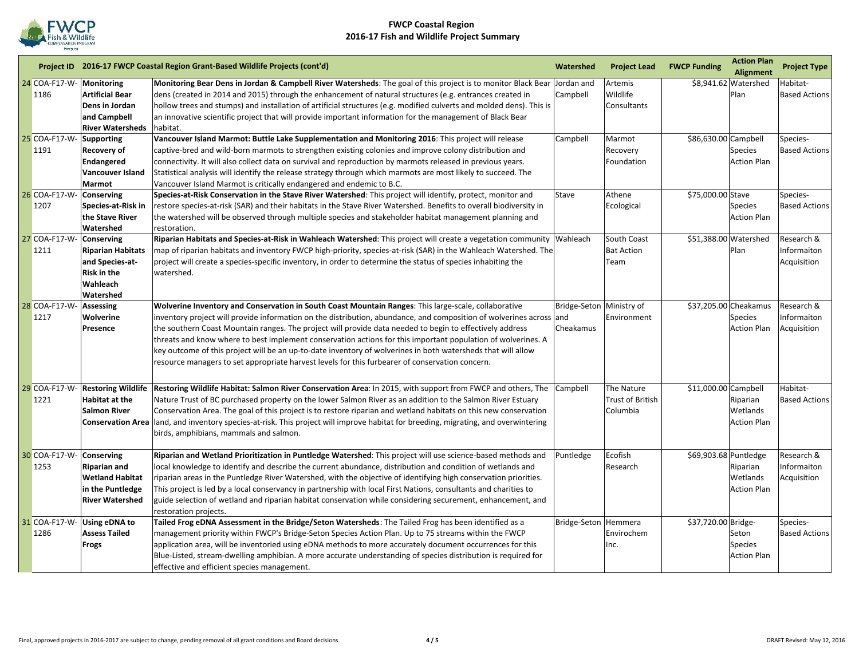

|    |               |                           | Project ID 2016-17 FWCP Coastal Region Grant-Based Wildlife Projects (cont'd)                                                              | Watershed                | <b>Project Lead</b> | <b>FWCP Funding</b>   | <b>Action Plan</b><br><b>Alignment</b> | <b>Project Type</b>  |
|----|---------------|---------------------------|--------------------------------------------------------------------------------------------------------------------------------------------|--------------------------|---------------------|-----------------------|----------------------------------------|----------------------|
|    | 24 COA-F17-W- | <b>Monitoring</b>         | Monitoring Bear Dens in Jordan & Campbell River Watersheds: The goal of this project is to monitor Black Bear Jordan and                   |                          | Artemis             |                       | \$8,941.62 Watershed                   | Habitat-             |
|    | 1186          | <b>Artificial Bear</b>    | dens (created in 2014 and 2015) through the enhancement of natural structures (e.g. entrances created in                                   | Campbell                 | Wildlife            |                       | Plan                                   | <b>Based Actions</b> |
|    |               | Dens in Jordan            | hollow trees and stumps) and installation of artificial structures (e.g. modified culverts and molded dens). This is                       |                          | Consultants         |                       |                                        |                      |
|    |               | and Campbell              | an innovative scientific project that will provide important information for the management of Black Bear                                  |                          |                     |                       |                                        |                      |
|    |               | <b>River Watersheds</b>   | habitat.                                                                                                                                   |                          |                     |                       |                                        |                      |
|    | 25 COA-F17-W- | <b>Supporting</b>         | Vancouver Island Marmot: Buttle Lake Supplementation and Monitoring 2016: This project will release                                        | Campbell                 | Marmot              | \$86,630.00 Campbell  |                                        | Species-             |
|    | 1191          | <b>Recovery of</b>        | captive-bred and wild-born marmots to strengthen existing colonies and improve colony distribution and                                     |                          | Recovery            |                       | Species                                | <b>Based Actions</b> |
|    |               | <b>Endangered</b>         | connectivity. It will also collect data on survival and reproduction by marmots released in previous years.                                |                          | Foundation          |                       | <b>Action Plan</b>                     |                      |
|    |               | Vancouver Island          | Statistical analysis will identify the release strategy through which marmots are most likely to succeed. The                              |                          |                     |                       |                                        |                      |
|    |               | Marmot                    | Vancouver Island Marmot is critically endangered and endemic to B.C.                                                                       |                          |                     |                       |                                        |                      |
|    | 26 COA-F17-W- | Conserving                | Species-at-Risk Conservation in the Stave River Watershed: This project will identify, protect, monitor and                                | Stave                    | Athene              | \$75,000.00 Stave     |                                        | Species-             |
|    | 1207          | Species at Risk in        | restore species-at-risk (SAR) and their habitats in the Stave River Watershed. Benefits to overall biodiversity in                         |                          | Ecological          |                       | <b>Species</b>                         | <b>Based Actions</b> |
|    |               | the Stave River           | the watershed will be observed through multiple species and stakeholder habitat management planning and                                    |                          |                     |                       | <b>Action Plan</b>                     |                      |
|    |               | Watershed                 | restoration.                                                                                                                               |                          |                     |                       |                                        |                      |
|    | 27 COA-F17-W- | <b>Conserving</b>         | Riparian Habitats and Species-at-Risk in Wahleach Watershed: This project will create a vegetation community Wahleach                      |                          | South Coast         | \$51,388.00 Watershed |                                        | Research &           |
|    | 1211          | <b>Riparian Habitats</b>  | map of riparian habitats and inventory FWCP high-priority, species-at-risk (SAR) in the Wahleach Watershed. The                            |                          | <b>Bat Action</b>   |                       | Plan                                   | Informaiton          |
|    |               | and Species-at-           | project will create a species-specific inventory, in order to determine the status of species inhabiting the                               |                          | Team                |                       |                                        | Acquisition          |
|    |               | <b>Risk in the</b>        | watershed.                                                                                                                                 |                          |                     |                       |                                        |                      |
|    |               | Wahleach                  |                                                                                                                                            |                          |                     |                       |                                        |                      |
|    |               | Watershed                 |                                                                                                                                            |                          |                     |                       |                                        |                      |
|    | 28 COA-F17-W  | Assessing                 | Wolverine Inventory and Conservation in South Coast Mountain Ranges: This large-scale, collaborative                                       | Bridge-Seton Ministry of |                     |                       | \$37,205.00 Cheakamus                  | Research &           |
|    | 1217          | Wolverine                 | inventory project will provide information on the distribution, abundance, and composition of wolverines across and                        |                          | Environment         |                       | Species                                | Informaiton          |
|    |               | Presence                  | the southern Coast Mountain ranges. The project will provide data needed to begin to effectively address                                   | Cheakamus                |                     |                       | <b>Action Plan</b>                     | Acquisition          |
|    |               |                           | threats and know where to best implement conservation actions for this important population of wolverines. A                               |                          |                     |                       |                                        |                      |
|    |               |                           | key outcome of this project will be an up-to-date inventory of wolverines in both watersheds that will allow                               |                          |                     |                       |                                        |                      |
|    |               |                           | resource managers to set appropriate harvest levels for this furbearer of conservation concern.                                            |                          |                     |                       |                                        |                      |
| 29 | COA-F17-W-    | <b>Restoring Wildlife</b> | Restoring Wildlife Habitat: Salmon River Conservation Area: In 2015, with support from FWCP and others, The Campbell                       |                          | The Nature          | \$11,000.00 Campbell  |                                        | Habitat-             |
|    | 1221          | Habitat at the            | Nature Trust of BC purchased property on the lower Salmon River as an addition to the Salmon River Estuary                                 |                          | Trust of British    |                       | Riparian                               | <b>Based Actions</b> |
|    |               | <b>Salmon River</b>       | Conservation Area. The goal of this project is to restore riparian and wetland habitats on this new conservation                           |                          | Columbia            |                       | Wetlands                               |                      |
|    |               |                           | <b>Conservation Area</b> land, and inventory species-at-risk. This project will improve habitat for breeding, migrating, and overwintering |                          |                     |                       | <b>Action Plan</b>                     |                      |
|    |               |                           | birds, amphibians, mammals and salmon.                                                                                                     |                          |                     |                       |                                        |                      |
|    | 30 COA-F17-W- | Conserving                | Riparian and Wetland Prioritization in Puntledge Watershed: This project will use science-based methods and                                | Puntledge                | Ecofish             | \$69,903.68 Puntledge |                                        | Research &           |
|    | 1253          | <b>Riparian and</b>       | local knowledge to identify and describe the current abundance, distribution and condition of wetlands and                                 |                          | Research            |                       | Riparian                               | Informaiton          |
|    |               | <b>Wetland Habitat</b>    | riparian areas in the Puntledge River Watershed, with the objective of identifying high conservation priorities.                           |                          |                     |                       | Wetlands                               | Acquisition          |
|    |               | in the Puntledge          | This project is led by a local conservancy in partnership with local First Nations, consultants and charities to                           |                          |                     |                       | <b>Action Plan</b>                     |                      |
|    |               | <b>River Watershed</b>    | guide selection of wetland and riparian habitat conservation while considering securement, enhancement, and                                |                          |                     |                       |                                        |                      |
|    |               |                           | restoration projects.                                                                                                                      |                          |                     |                       |                                        |                      |
|    | 31 COA-F17-W- | <b>Using eDNA to</b>      | Tailed Frog eDNA Assessment in the Bridge/Seton Watersheds: The Tailed Frog has been identified as a                                       | Bridge-Seton Hemmera     |                     | \$37,720.00 Bridge-   |                                        | Species-             |
|    | 1286          | <b>Assess Tailed</b>      | management priority within FWCP's Bridge-Seton Species Action Plan. Up to 75 streams within the FWCP                                       |                          | Envirochem          |                       | Seton                                  | <b>Based Actions</b> |
|    |               | <b>Frogs</b>              | application area, will be inventoried using eDNA methods to more accurately document occurrences for this                                  |                          | Inc.                |                       | <b>Species</b>                         |                      |
|    |               |                           | Blue-Listed, stream-dwelling amphibian. A more accurate understanding of species distribution is required for                              |                          |                     |                       | <b>Action Plan</b>                     |                      |
|    |               |                           | effective and efficient species management.                                                                                                |                          |                     |                       |                                        |                      |